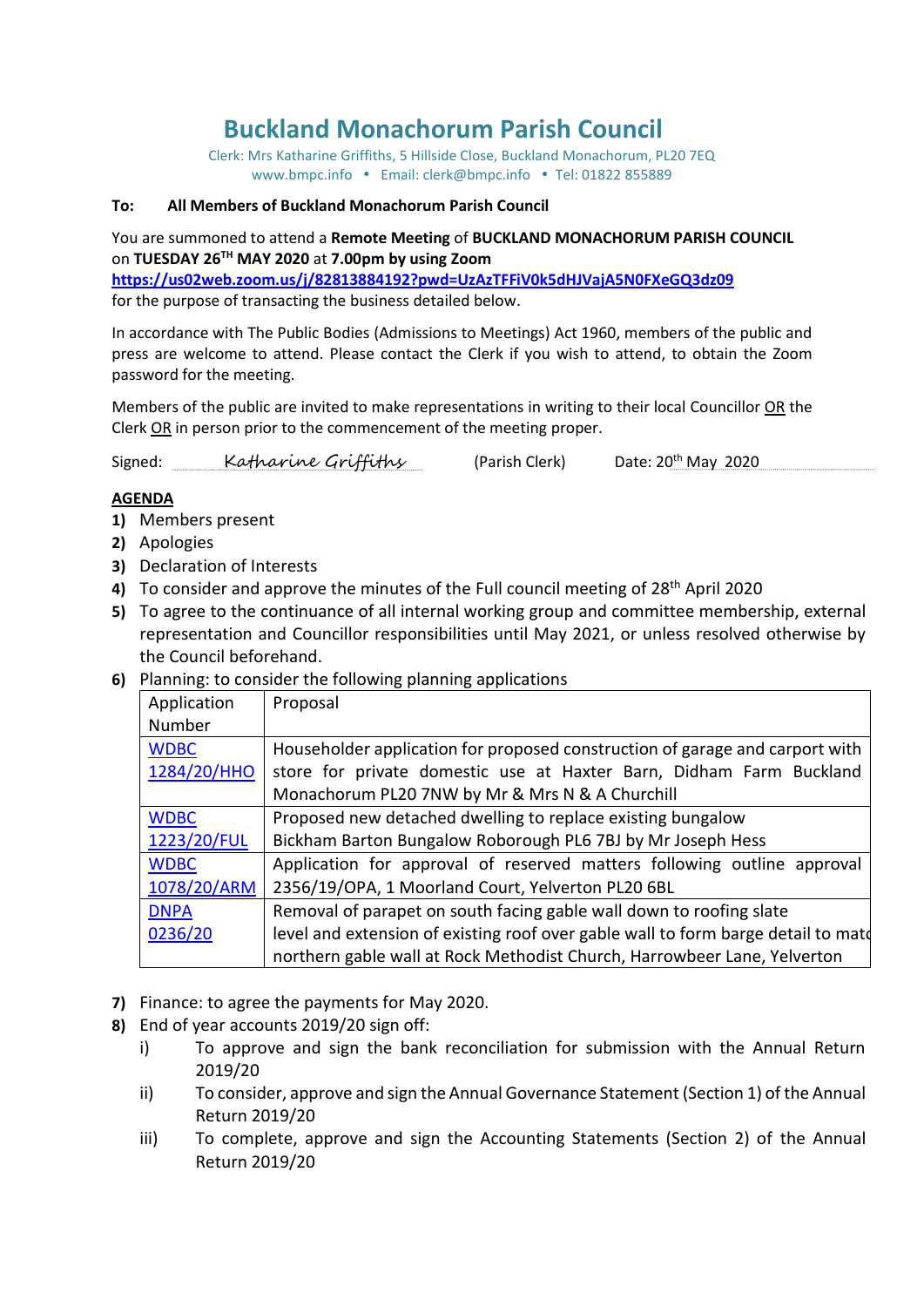# **Buckland Monachorum Parish Council**

Clerk: Mrs Katharine Griffiths, 5 Hillside Close, Buckland Monachorum, PL20 7EQ [www.bmpc.info](http://www.bmpc.info/) • Email: clerk@bmpc.info • Tel: 01822 855889

#### **To: All Members of Buckland Monachorum Parish Council**

You are summoned to attend a **Remote Meeting** of **BUCKLAND MONACHORUM PARISH COUNCIL** on **TUESDAY 26 TH MAY 2020** at **7.00pm by using Zoom** 

**<https://us02web.zoom.us/j/82813884192?pwd=UzAzTFFiV0k5dHJVajA5N0FXeGQ3dz09>** for the purpose of transacting the business detailed below.

In accordance with The Public Bodies (Admissions to Meetings) Act 1960, members of the public and press are welcome to attend. Please contact the Clerk if you wish to attend, to obtain the Zoom password for the meeting.

Members of the public are invited to make representations in writing to their local Councillor OR the Clerk OR in person prior to the commencement of the meeting proper.

Signed: Katharine Griffithy (Parish Clerk) Date:  $20^{th}$  May  $2020$ 

#### **AGENDA**

- **1)** Members present
- **2)** Apologies
- **3)** Declaration of Interests
- **4)** To consider and approve the minutes of the Full council meeting of 28th April 2020
- **5)** To agree to the continuance of all internal working group and committee membership, external representation and Councillor responsibilities until May 2021, or unless resolved otherwise by the Council beforehand.
- **6)** Planning: to consider the following planning applications

| Application | Proposal                                                                          |
|-------------|-----------------------------------------------------------------------------------|
| Number      |                                                                                   |
| <b>WDBC</b> | Householder application for proposed construction of garage and carport with      |
| 1284/20/HHO | store for private domestic use at Haxter Barn, Didham Farm Buckland               |
|             | Monachorum PL20 7NW by Mr & Mrs N & A Churchill                                   |
| <b>WDBC</b> | Proposed new detached dwelling to replace existing bungalow                       |
| 1223/20/FUL | Bickham Barton Bungalow Roborough PL6 7BJ by Mr Joseph Hess                       |
| <b>WDBC</b> | Application for approval of reserved matters following outline approval           |
| 1078/20/ARM | 2356/19/OPA, 1 Moorland Court, Yelverton PL20 6BL                                 |
| <b>DNPA</b> | Removal of parapet on south facing gable wall down to roofing slate               |
| 0236/20     | level and extension of existing roof over gable wall to form barge detail to matd |
|             | northern gable wall at Rock Methodist Church, Harrowbeer Lane, Yelverton          |

- **7)** Finance: to agree the payments for May 2020.
- **8)** End of year accounts 2019/20 sign off:
	- i) To approve and sign the bank reconciliation for submission with the Annual Return 2019/20
	- ii) To consider, approve and sign the Annual Governance Statement (Section 1) of the Annual Return 2019/20
	- iii) To complete, approve and sign the Accounting Statements (Section 2) of the Annual Return 2019/20